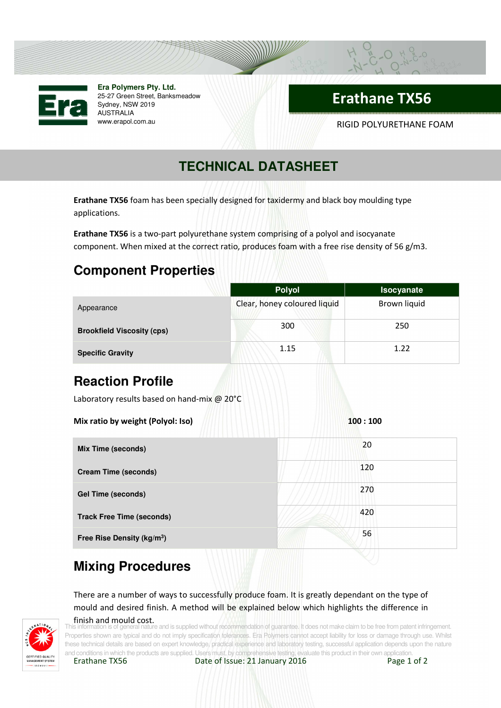

**Era Polymers Pty. Ltd.** 25-27 Green Street, Banksmeadow Sydney, NSW 2019 AUSTRALIA

# Erathane TX56

www.erapol.com.au RIGID POLYURETHANE FOAM

# **TECHNICAL DATASHEET**

Erathane TX56 foam has been specially designed for taxidermy and black boy moulding type applications.

Erathane TX56 is a two-part polyurethane system comprising of a polyol and isocyanate component. When mixed at the correct ratio, produces foam with a free rise density of 56 g/m3.

### **Component Properties**

|                                             | <b>Polyol</b>                | Isocyanate   |
|---------------------------------------------|------------------------------|--------------|
| Appearance                                  | Clear, honey coloured liquid | Brown liquid |
| <b>Brookfield Viscosity (cps)</b>           | 300                          | 250          |
| <b>Specific Gravity</b>                     | 1.15                         | 1.22         |
| <b>Reaction Profile</b>                     |                              |              |
| Laboratory results based on hand-mix @ 20°C |                              |              |
| Mix ratio by weight (Polyol: Iso)           |                              | 100:100      |
| <b>Mix Time (seconds)</b>                   |                              | 20           |
| <b>Cream Time (seconds)</b>                 |                              | 120          |
| <b>Gel Time (seconds)</b>                   |                              | 270          |
| <b>Track Free Time (seconds)</b>            |                              | 420          |
| Free Rise Density (kg/m <sup>3</sup> )      |                              | 56           |

## **Mixing Procedures**

There are a number of ways to successfully produce foam. It is greatly dependant on the type of mould and desired finish. A method will be explained below which highlights the difference in



#### finish and mould cost.

and is supplied without recommendation of guarantee. It does not make claim to be free from patent infringement. Properties shown are typical and do not imply specification tolerances. Era Polymers cannot accept liability for loss or damage through use. Whilst these technical details are based on expert knowledge, practical experience and laboratory testing, successful application depends upon the nature and conditions in which the products are supplied. Users must, by comprehensive testing, evaluate this product in their own application.<br> **Erathane TX56** Date of Issue: 21 January 2016 Page 1